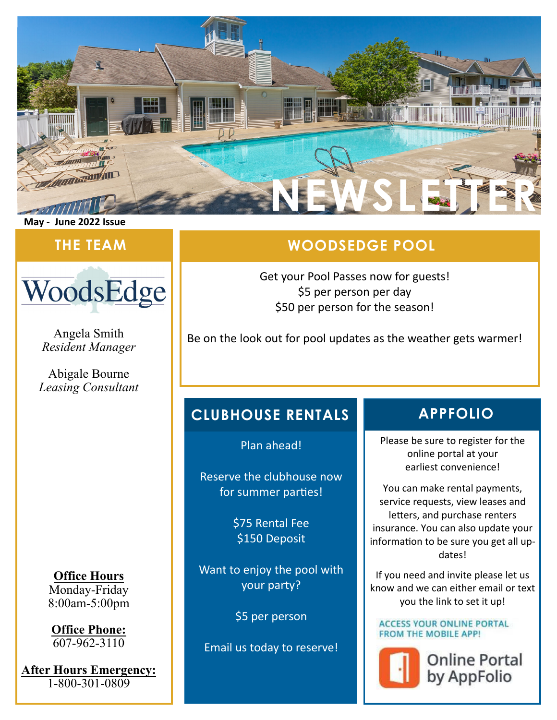

#### **May ‐ June 2022 Issue**



Angela Smith *Resident Manager* 

Abigale Bourne *Leasing Consultant* 

**Office Hours**  Monday-Friday 8:00am-5:00pm

**Office Phone:**   $\sqrt{607-962-3110}$ 

**After Hours Emergency:**  1-800-301-0809

## **THE TEAM WOODSEDGE POOL**

Get your Pool Passes now for guests! \$5 per person per day \$50 per person for the season!

Be on the look out for pool updates as the weather gets warmer!

### **CLUBHOUSE RENTALS APPFOLIO**

Plan ahead!

Reserve the clubhouse now for summer parties!

> \$75 Rental Fee \$150 Deposit

Want to enjoy the pool with your party?

\$5 per person

Email us today to reserve!

Please be sure to register for the online portal at your earliest convenience!

You can make rental payments, service requests, view leases and letters, and purchase renters insurance. You can also update your information to be sure you get all updates!

If you need and invite please let us know and we can either email or text you the link to set it up!

#### **ACCESS YOUR ONLINE PORTAL FROM THE MOBILE APP!**



**Online Portal** by AppFolio